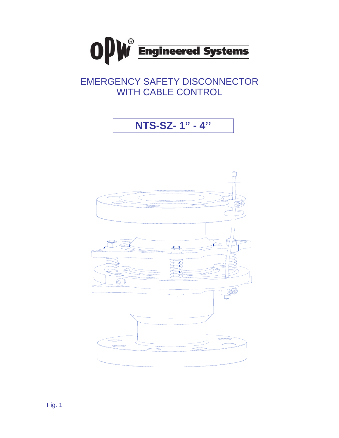

# **EMERGENCY SAFETY DISCONNECTOR WITH CABLE CONTROL**



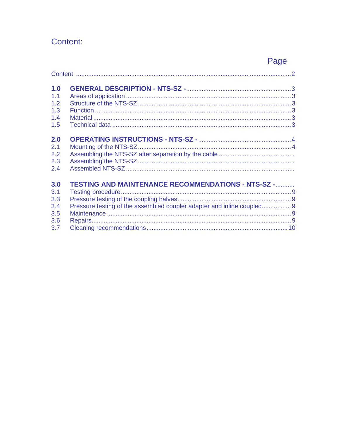# Content:

# Page

| 1.0 |                                                            |  |
|-----|------------------------------------------------------------|--|
| 1.1 |                                                            |  |
| 1.2 |                                                            |  |
| 1.3 |                                                            |  |
| 1.4 |                                                            |  |
| 1.5 |                                                            |  |
|     |                                                            |  |
| 2.0 |                                                            |  |
| 2.1 |                                                            |  |
| 2.2 |                                                            |  |
| 2.3 |                                                            |  |
| 2.4 |                                                            |  |
|     |                                                            |  |
| 3.0 | <b>TESTING AND MAINTENANCE RECOMMENDATIONS - NTS-SZ - </b> |  |
| 3.1 |                                                            |  |
| 3.3 |                                                            |  |
| 3.4 |                                                            |  |
| 3.5 |                                                            |  |
| 3.6 |                                                            |  |
| 3.7 |                                                            |  |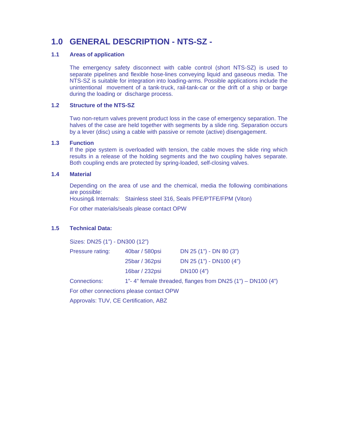## **1.0 GENERAL DESCRIPTION - NTS-SZ -**

### **1.1 Areas of application**

The emergency safety disconnect with cable control (short NTS-SZ) is used to separate pipelines and flexible hose-lines conveying liquid and gaseous media. The NTS-SZ is suitable for integration into loading-arms. Possible applications include the unintentional movement of a tank-truck, rail-tank-car or the drift of a ship or barge during the loading or discharge process.

### **1.2 Structure of the NTS-SZ**

Two non-return valves prevent product loss in the case of emergency separation. The halves of the case are held together with segments by a slide ring. Separation occurs by a lever (disc) using a cable with passive or remote (active) disengagement.

## **1.3 Function**

If the pipe system is overloaded with tension, the cable moves the slide ring which results in a release of the holding segments and the two coupling halves separate. Both coupling ends are protected by spring-loaded, self-closing valves.

### **1.4 Material**

Depending on the area of use and the chemical, media the following combinations are possible:

Housing& Internals: Stainless steel 316, Seals PFE/PTFE/FPM (Viton)

For other materials/seals please contact OPW

### **1.5 Technical Data:**

Sizes: DN25 (1") - DN300 (12")

| Pressure rating: | 40bar / 580psi | DN 25 (1") - DN 80 (3") |
|------------------|----------------|-------------------------|
|                  | 25bar / 362psi | DN 25 (1") - DN100 (4") |
|                  | 16bar / 232psi | DN <sub>100</sub> (4")  |

Connections: 1"- 4" female threaded, flanges from DN25 (1") – DN100 (4")

For other connections please contact OPW

Approvals: TUV, CE Certification, ABZ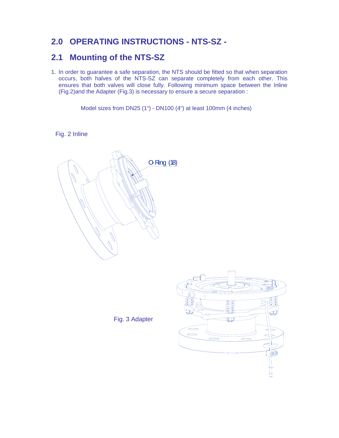## **2.0 OPERATING INSTRUCTIONS - NTS-SZ -**

## **2.1 Mounting of the NTS-SZ**

1. In order to guarantee a safe separation, the NTS should be fitted so that when separation occurs, both halves of the NTS-SZ can separate completely from each other. This ensures that both valves will close fully. Following minimum space between the Inline (Fig.2)and the Adapter (Fig.3) is necessary to ensure a secure separation :

Model sizes from DN25 (1") - DN100 (4") at least 100mm (4 inches)

Fig. 2 Inline



Fig. 3 Adapter

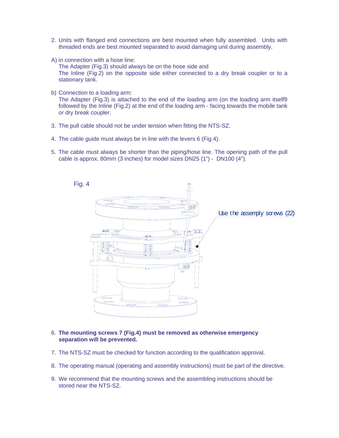- 2. Units with flanged end connections are best mounted when fully assembled. Units with threaded ends are best mounted separated to avoid damaging unit during assembly.
- A) in connection with a hose line:

 The Adapter (Fig.3) should always be on the hose side and The Inline (Fig.2) on the opposite side either connected to a dry break coupler or to a stationary tank.

- b) Connection to a loading arm: The Adapter (Fig.3) is attached to the end of the loading arm (on the loading arm itself9 followed by the Inline (Fig.2) at the end of the loading arm - facing towards the mobile tank or dry break coupler.
- 3. The pull cable should not be under tension when fitting the NTS-SZ.
- 4. The cable guide must always be in line with the levers 6 (Fig.4).
- 5. The cable must always be shorter than the piping/hose line. The opening path of the pull cable is approx. 80mm (3 inches) for model sizes DN25 (1") - DN100 (4").



- 6. **The mounting screws 7 (Fig.4) must be removed as otherwise emergency separation will be prevented.**
- 7. The NTS-SZ must be checked for function according to the qualification approval.
- 8. The operating manual (operating and assembly instructions) must be part of the directive.
- 9. We recommend that the mounting screws and the assembling instructions should be stored near the NTS-SZ.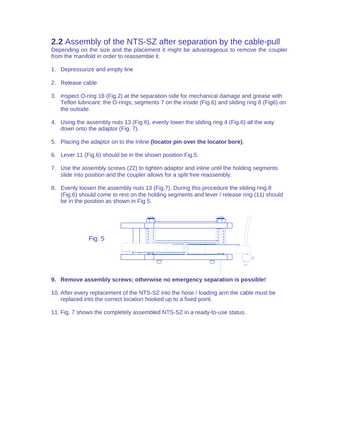## **2.2** Assembly of the NTS-SZ after separation by the cable-pull

Depending on the size and the placement it might be advantageous to remove the coupler from the manifold in order to reassemble it.

- 1. Depressurize and empty line
- 2. Release cable
- 3. Inspect O-ring 18 (Fig.2) at the separation side for mechanical damage and grease with Teflon lubricant: the O-rings, segments 7 on the inside (Fig.6) and sliding ring 8 (Fig6) on the outside.
- 4. Using the assembly nuts 13 (Fig.6), evenly lower the sliding ring 4 (Fig.6) all the way down onto the adaptor (Fig. 7).
- 5. Placing the adaptor on to the Inline **(locator pin over the locator bore)**.
- 6. Lever 11 (Fig.6) should be in the shown position Fig.5.
- 7. Use the assembly screws (22) to tighten adaptor and inline until the holding segments slide into position and the coupler allows for a split free reassembly.
- 8. Evenly loosen the assembly nuts 13 (Fig.7). During this procedure the sliding ring 8 (Fig.6) should come to rest on the holding segments and lever / release ring (11) should be in the position as shown in Fig 5.



- **9. Remove assembly screws; otherwise no emergency separation is possible!**
- 10. After every replacement of the NTS-SZ into the hose / loading arm the cable must be replaced into the correct location hooked up to a fixed point.
- 11. Fig. 7 shows the completely assembled NTS-SZ in a ready-to-use status.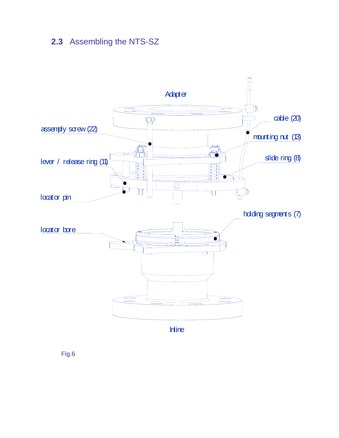# **2.3** Assembling the NTS-SZ



Fig.6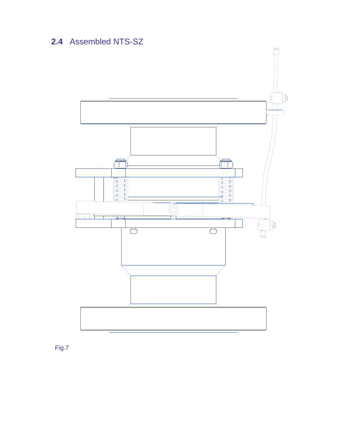# **2.4** Assembled NTS-SZ



Fig.7